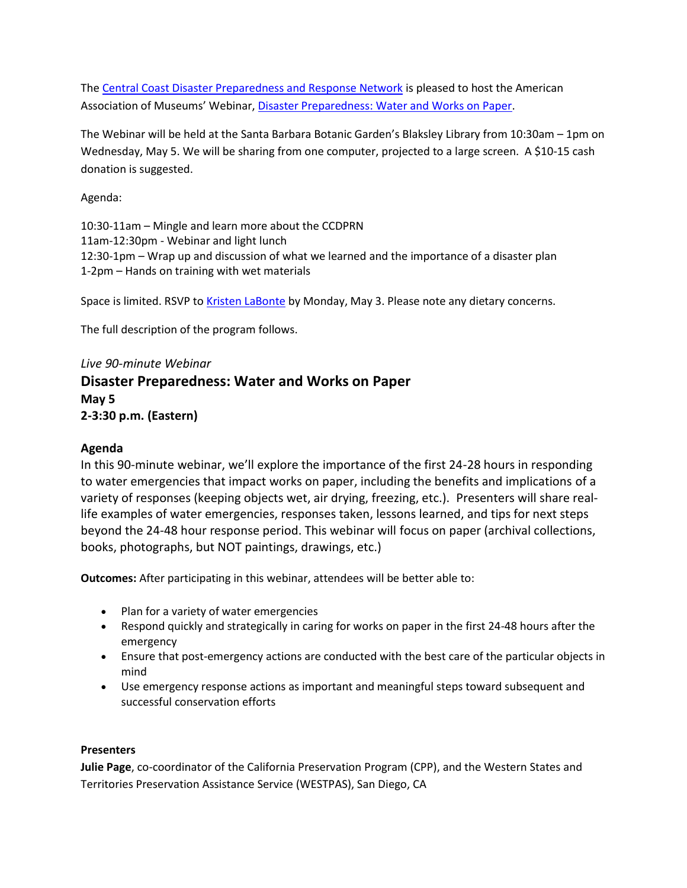The [Central Coast Disaster Preparedness and Response Network](http://www.goldcoastlibraries.org/DisasterPrep/index.html) is pleased to host the American Association of Museums' Webinar, [Disaster Preparedness: Water and Works on Paper.](http://www.aam-us.org/getinvolved/learn/disasterpreparedness2010.cfm)

The Webinar will be held at the Santa Barbara Botanic Garden's Blaksley Library from 10:30am – 1pm on Wednesday, May 5. We will be sharing from one computer, projected to a large screen. A \$10-15 cash donation is suggested.

Agenda:

10:30-11am – Mingle and learn more about the CCDPRN 11am-12:30pm - Webinar and light lunch 12:30-1pm – Wrap up and discussion of what we learned and the importance of a disaster plan 1-2pm – Hands on training with wet materials

Space is limited. RSVP to [Kristen LaBonte](mailto:kristen.labonte@csuci.edu) by Monday, May 3. Please note any dietary concerns.

The full description of the program follows.

## *Live 90-minute Webinar*

## **Disaster Preparedness: Water and Works on Paper May 5**

**2-3:30 p.m. (Eastern)**

## **Agenda**

In this 90-minute webinar, we'll explore the importance of the first 24-28 hours in responding to water emergencies that impact works on paper, including the benefits and implications of a variety of responses (keeping objects wet, air drying, freezing, etc.). Presenters will share reallife examples of water emergencies, responses taken, lessons learned, and tips for next steps beyond the 24-48 hour response period. This webinar will focus on paper (archival collections, books, photographs, but NOT paintings, drawings, etc.)

**Outcomes:** After participating in this webinar, attendees will be better able to:

- Plan for a variety of water emergencies
- Respond quickly and strategically in caring for works on paper in the first 24-48 hours after the emergency
- Ensure that post-emergency actions are conducted with the best care of the particular objects in mind
- Use emergency response actions as important and meaningful steps toward subsequent and successful conservation efforts

## **Presenters**

**Julie Page**, co-coordinator of the California Preservation Program (CPP), and the Western States and Territories Preservation Assistance Service (WESTPAS), San Diego, CA